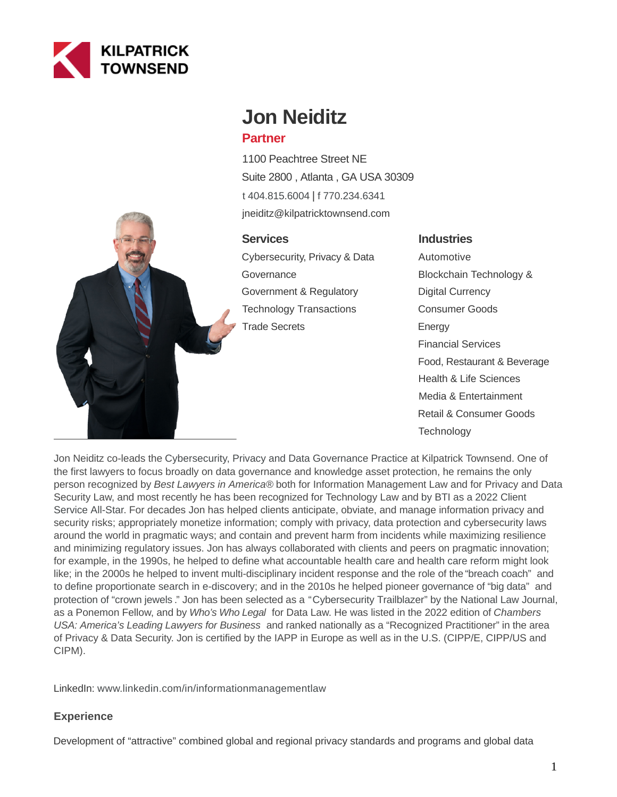

# **Jon Neiditz**

# **Partner**

1100 Peachtree Street NE Suite 2800 , Atlanta , GA USA 30309 [t 404.815.6004](tel:404.815.6004) | [f 770.234.6341](fax:770.234.6341) jneiditz@kilpatricktownsend.com

# **Services**

Cybersecurity, Privacy & Data **Governance** Government & Regulatory Technology Transactions Trade Secrets

# **Industries**

Automotive Blockchain Technology & Digital Currency Consumer Goods Energy Financial Services Food, Restaurant & Beverage Health & Life Sciences Media & Entertainment Retail & Consumer Goods **Technology** 



Jon Neiditz co-leads the [Cybersecurity, Privacy and Data Governance Practice](https://www.kilpatricktownsend.com/en/Services/CybersecurityPrivacyDataGovernance) at Kilpatrick Townsend. One of the first lawyers to focus broadly on data governance and knowledge asset protection, he remains the only person recognized by Best Lawyers in America® both for Information Management Law and for Privacy and Data Security Law, and most recently he has been recognized for Technology Law and [by BTI as a 2022 Client](https://bticonsulting.com/allstars/Jon-Neiditz#allstar) Service All-Star. For decades Jon has helped clients anticipate, obviate, and manage information privacy and security risks; appropriately monetize information; comply with privacy, data protection and cybersecurity laws around the world in pragmatic ways; and contain and prevent harm from incidents while maximizing resilience and minimizing regulatory issues. Jon has always collaborated with clients and peers on pragmatic innovation; for example, in the 1990s, he helped to define what [accountable health care](https://pubmed.ncbi.nlm.nih.gov/10116957/) and [health care reform m](https://pubmed.ncbi.nlm.nih.gov/10127206/)ight look like; in the 2000s he helped to invent multi-disciplinary incident response and the role of the ["breach coach" a](https://netdiligence.com/blog/2012/09/68-2/)nd to [define proportionate search in e-discovery;](https://thesedonaconference.org/sites/default/files/publications/Commentary%20on%20Preservation%20Management%20and%20Identification%20of%20Sources%20of%20Information%20that%20are%20Not%20Reasonably%20Accessible.10TSCJ281.pdf) and in the 2010s he helped pioneer [governance of "big data"](https://www.law360.com/articles/498430/a-recipe-for-new-info-governance-and-data-protection) and [protection of "crown jewels](https://www.kilpatricktownsend.com/en/Insights/News/News-Release/2018/4/The-Second-Annual-Study-on-the-Cybersecurity-Risk-to-Knowledge-Assets) [."](https://www.rsaconference.com/industry-topics/presentation/knowledge-assets-their-defense-and-regulationmaking-them-work-for-you) Jon has been selected as a ["](http://www.kilpatricktownsend.com/~/media/Files/In%20The%20News/JNeiditz%20NLJ%20Trailblazers%202016.ashx)[Cybersecurity Trailblazer" by the National Law Journal,](https://www.kilpatricktownsend.com/~/media/Files/In%20The%20News/JNeiditz%20NLJ%20Trailblazers%202016.ashx) as a Ponemon Fellow, and by Who's Who Legal for Data Law. He was listed in the 2022 edition of Chambers USA: America's Leading Lawyers for Business and ranked nationally as a "Recognized Practitioner" in the area of Privacy & Data Security. Jon is certified by the IAPP in Europe as well as in the U.S. (CIPP/E, CIPP/US and CIPM).

LinkedIn: [www.linkedin.com/in/informationmanagementlaw](http://www.linkedin.com/in/informationmanagementlaw)

# **Experience**

Development of "attractive" combined global and regional privacy standards and programs and global data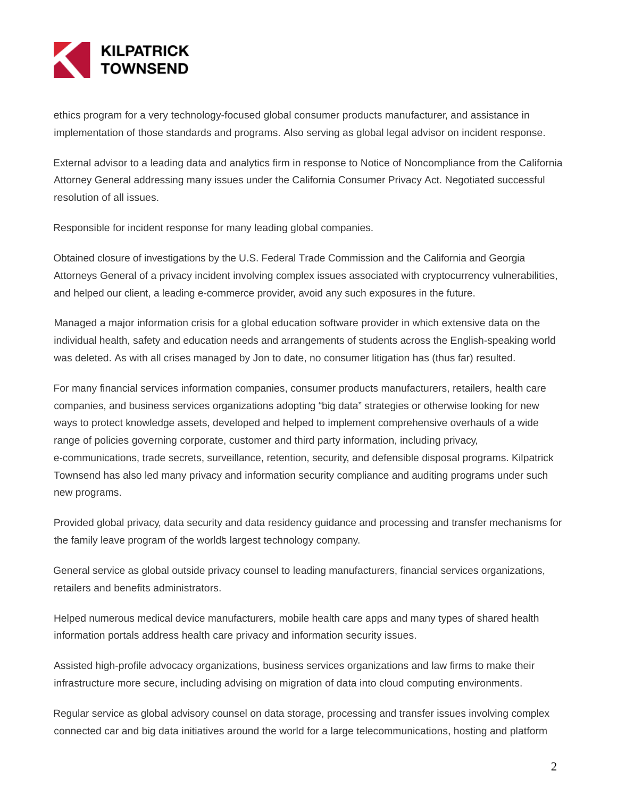

ethics program for a very technology-focused global consumer products manufacturer, and assistance in implementation of those standards and programs. Also serving as global legal advisor on incident response.

External advisor to a leading data and analytics firm in response to Notice of Noncompliance from the California Attorney General addressing many issues under the California Consumer Privacy Act. Negotiated successful resolution of all issues.

Responsible for incident response for many leading global companies.

Obtained closure of investigations by the U.S. Federal Trade Commission and the California and Georgia Attorneys General of a privacy incident involving complex issues associated with cryptocurrency vulnerabilities, and helped our client, a leading e-commerce provider, avoid any such exposures in the future.

Managed a major information crisis for a global education software provider in which extensive data on the individual health, safety and education needs and arrangements of students across the English-speaking world was deleted. As with all crises managed by Jon to date, no consumer litigation has (thus far) resulted.

For many financial services information companies, consumer products manufacturers, retailers, health care companies, and business services organizations adopting "big data" strategies or otherwise looking for new ways to protect knowledge assets, developed and helped to implement comprehensive overhauls of a wide range of policies governing corporate, customer and third party information, including privacy, e-communications, trade secrets, surveillance, retention, security, and defensible disposal programs. Kilpatrick Townsend has also led many privacy and information security compliance and auditing programs under such new programs.

Provided global privacy, data security and data residency guidance and processing and transfer mechanisms for the family leave program of the world's largest technology company.

General service as global outside privacy counsel to leading manufacturers, financial services organizations, retailers and benefits administrators.

Helped numerous medical device manufacturers, mobile health care apps and many types of shared health information portals address health care privacy and information security issues.

Assisted high-profile advocacy organizations, business services organizations and law firms to make their infrastructure more secure, including advising on migration of data into cloud computing environments.

Regular service as global advisory counsel on data storage, processing and transfer issues involving complex connected car and big data initiatives around the world for a large telecommunications, hosting and platform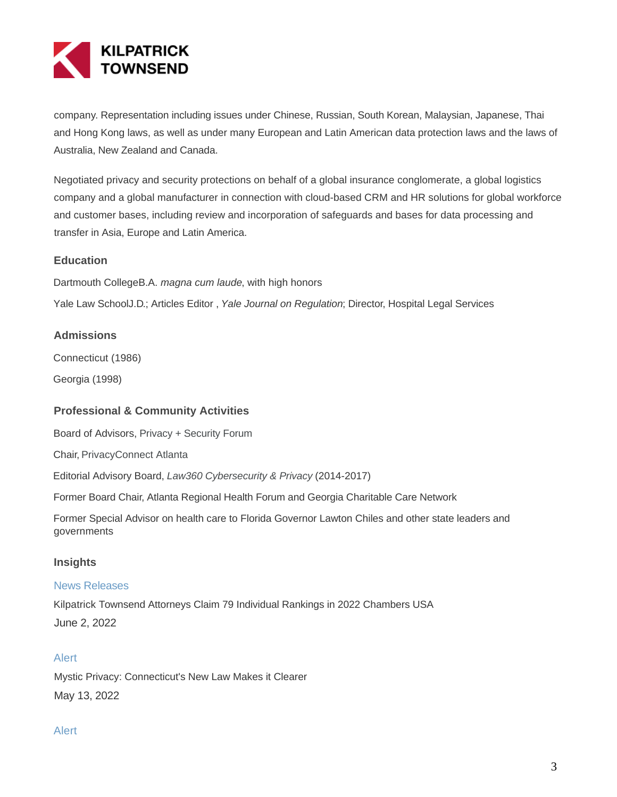

company. Representation including issues under Chinese, Russian, South Korean, Malaysian, Japanese, Thai and Hong Kong laws, as well as under many European and Latin American data protection laws and the laws of Australia, New Zealand and Canada.

Negotiated privacy and security protections on behalf of a global insurance conglomerate, a global logistics company and a global manufacturer in connection with cloud-based CRM and HR solutions for global workforce and customer bases, including review and incorporation of safeguards and bases for data processing and transfer in Asia, Europe and Latin America.

#### **Education**

Dartmouth CollegeB.A. magna cum laude, with high honors

Yale Law SchoolJ.D.; Articles Editor, Yale Journal on Regulation; Director, Hospital Legal Services

#### **Admissions**

Connecticut (1986)

Georgia (1998)

#### **Professional & Community Activities**

Board of Advisors, [Privacy + Security Forum](http://www.privacyandsecurityforum.com/)

Chair, [PrivacyConnect Atlanta](https://www.privacyconnect.com/city/atlanta/)

Editorial Advisory Board, [Law360 Cybersecurity & Privacy](https://www.law360.com/privacy) (2014-2017)

Former Board Chair, Atlanta Regional Health Forum and Georgia Charitable Care Network

Former Special Advisor on health care to Florida Governor Lawton Chiles and other state leaders and governments

#### **Insights**

#### News Releases

Kilpatrick Townsend Attorneys Claim 79 Individual Rankings in 2022 Chambers USA June 2, 2022

#### Alert

Mystic Privacy: Connecticut's New Law Makes it Clearer May 13, 2022

#### Alert